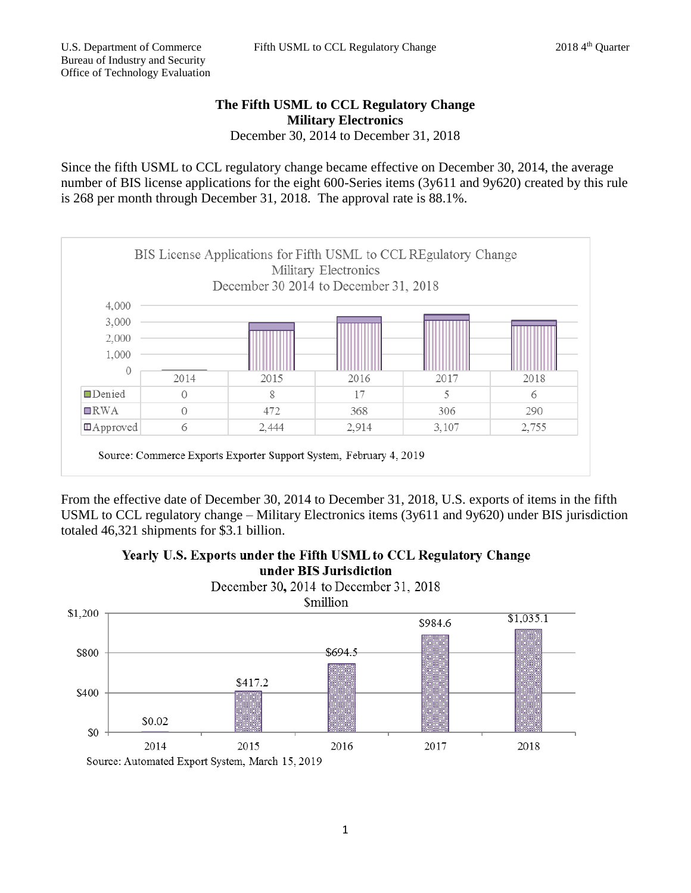## **The Fifth USML to CCL Regulatory Change Military Electronics** December 30, 2014 to December 31, 2018

Since the fifth USML to CCL regulatory change became effective on December 30, 2014, the average number of BIS license applications for the eight 600-Series items (3y611 and 9y620) created by this rule is 268 per month through December 31, 2018. The approval rate is 88.1%.



From the effective date of December 30, 2014 to December 31, 2018, U.S. exports of items in the fifth USML to CCL regulatory change – Military Electronics items (3y611 and 9y620) under BIS jurisdiction totaled 46,321 shipments for \$3.1 billion.



Yearly U.S. Exports under the Fifth USML to CCL Regulatory Change

Source: Automated Export System, March 15, 2019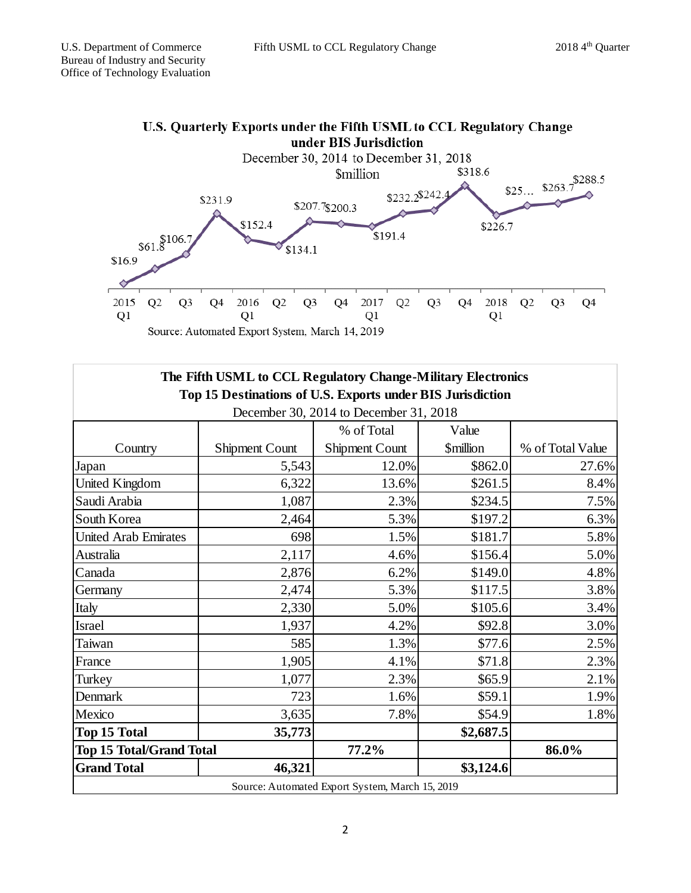

| The Fifth USML to CCL Regulatory Change-Military Electronics<br>Top 15 Destinations of U.S. Exports under BIS Jurisdiction |                |                |                         |                  |
|----------------------------------------------------------------------------------------------------------------------------|----------------|----------------|-------------------------|------------------|
| December 30, 2014 to December 31, 2018                                                                                     |                |                |                         |                  |
|                                                                                                                            |                | % of Total     | Value                   |                  |
| Country                                                                                                                    | Shipment Count | Shipment Count | <i><b>\$million</b></i> | % of Total Value |
| Japan                                                                                                                      | 5,543          | 12.0%          | \$862.0                 | 27.6%            |
| United Kingdom                                                                                                             | 6,322          | 13.6%          | \$261.5                 | 8.4%             |
| Saudi Arabia                                                                                                               | 1,087          | 2.3%           | \$234.5                 | 7.5%             |
| South Korea                                                                                                                | 2,464          | 5.3%           | \$197.2                 | 6.3%             |
| <b>United Arab Emirates</b>                                                                                                | 698            | 1.5%           | \$181.7                 | 5.8%             |
| Australia                                                                                                                  | 2,117          | 4.6%           | \$156.4                 | 5.0%             |
| Canada                                                                                                                     | 2,876          | 6.2%           | \$149.0                 | 4.8%             |
| Germany                                                                                                                    | 2,474          | 5.3%           | \$117.5                 | 3.8%             |
| Italy                                                                                                                      | 2,330          | 5.0%           | \$105.6                 | 3.4%             |
| <b>Israel</b>                                                                                                              | 1,937          | 4.2%           | \$92.8                  | 3.0%             |
| Taiwan                                                                                                                     | 585            | 1.3%           | \$77.6                  | 2.5%             |
| France                                                                                                                     | 1,905          | 4.1%           | \$71.8                  | 2.3%             |
| Turkey                                                                                                                     | 1,077          | 2.3%           | \$65.9                  | 2.1%             |
| Denmark                                                                                                                    | 723            | 1.6%           | \$59.1                  | 1.9%             |
| Mexico                                                                                                                     | 3,635          | 7.8%           | \$54.9                  | 1.8%             |
| <b>Top 15 Total</b>                                                                                                        | 35,773         |                | \$2,687.5               |                  |
| <b>Top 15 Total/Grand Total</b>                                                                                            |                | 77.2%          |                         | 86.0%            |
| <b>Grand Total</b>                                                                                                         | 46,321         |                | \$3,124.6               |                  |
| Source: Automated Export System, March 15, 2019                                                                            |                |                |                         |                  |